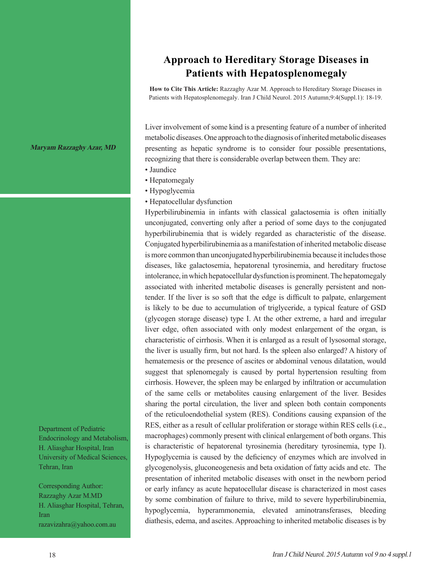## **Approach to Hereditary Storage Diseases in Patients with Hepatosplenomegaly**

**How to Cite This Article:** Razzaghy Azar M. Approach to Hereditary Storage Diseases in Patients with Hepatosplenomegaly. Iran J Child Neurol. 2015 Autumn;9:4(Suppl.1): 18-19.

Liver involvement of some kind is a presenting feature of a number of inherited metabolic diseases. One approach to the diagnosis of inherited metabolic diseases presenting as hepatic syndrome is to consider four possible presentations, recognizing that there is considerable overlap between them. They are:

- Jaundice
- Hepatomegaly
- Hypoglycemia
- Hepatocellular dysfunction

Hyperbilirubinemia in infants with classical galactosemia is often initially unconjugated, converting only after a period of some days to the conjugated hyperbilirubinemia that is widely regarded as characteristic of the disease. Conjugated hyperbilirubinemia as a manifestation of inherited metabolic disease is more common than unconjugated hyperbilirubinemia because it includes those diseases, like galactosemia, hepatorenal tyrosinemia, and hereditary fructose intolerance, in which hepatocellular dysfunction is prominent. The hepatomegaly associated with inherited metabolic diseases is generally persistent and nontender. If the liver is so soft that the edge is difficult to palpate, enlargement is likely to be due to accumulation of triglyceride, a typical feature of GSD (glycogen storage disease) type I. At the other extreme, a hard and irregular liver edge, often associated with only modest enlargement of the organ, is characteristic of cirrhosis. When it is enlarged as a result of lysosomal storage, the liver is usually firm, but not hard. Is the spleen also enlarged? A history of hematemesis or the presence of ascites or abdominal venous dilatation, would suggest that splenomegaly is caused by portal hypertension resulting from cirrhosis. However, the spleen may be enlarged by infiltration or accumulation of the same cells or metabolites causing enlargement of the liver. Besides sharing the portal circulation, the liver and spleen both contain components of the reticuloendothelial system (RES). Conditions causing expansion of the RES, either as a result of cellular proliferation or storage within RES cells (i.e., macrophages) commonly present with clinical enlargement of both organs. This is characteristic of hepatorenal tyrosinemia (hereditary tyrosinemia, type I). Hypoglycemia is caused by the deficiency of enzymes which are involved in glycogenolysis, gluconeogenesis and beta oxidation of fatty acids and etc. The presentation of inherited metabolic diseases with onset in the newborn period or early infancy as acute hepatocellular disease is characterized in most cases by some combination of failure to thrive, mild to severe hyperbilirubinemia, hypoglycemia, hyperammonemia, elevated aminotransferases, bleeding diathesis, edema, and ascites. Approaching to inherited metabolic diseases is by

**Maryam Razzaghy Azar, MD**

Department of Pediatric Endocrinology and Metabolism, H. Aliasghar Hospital, Iran University of Medical Sciences, Tehran, Iran

Corresponding Author: Razzaghy Azar M.MD H. Aliasghar Hospital, Tehran, Iran razavizahra@yahoo.com.au